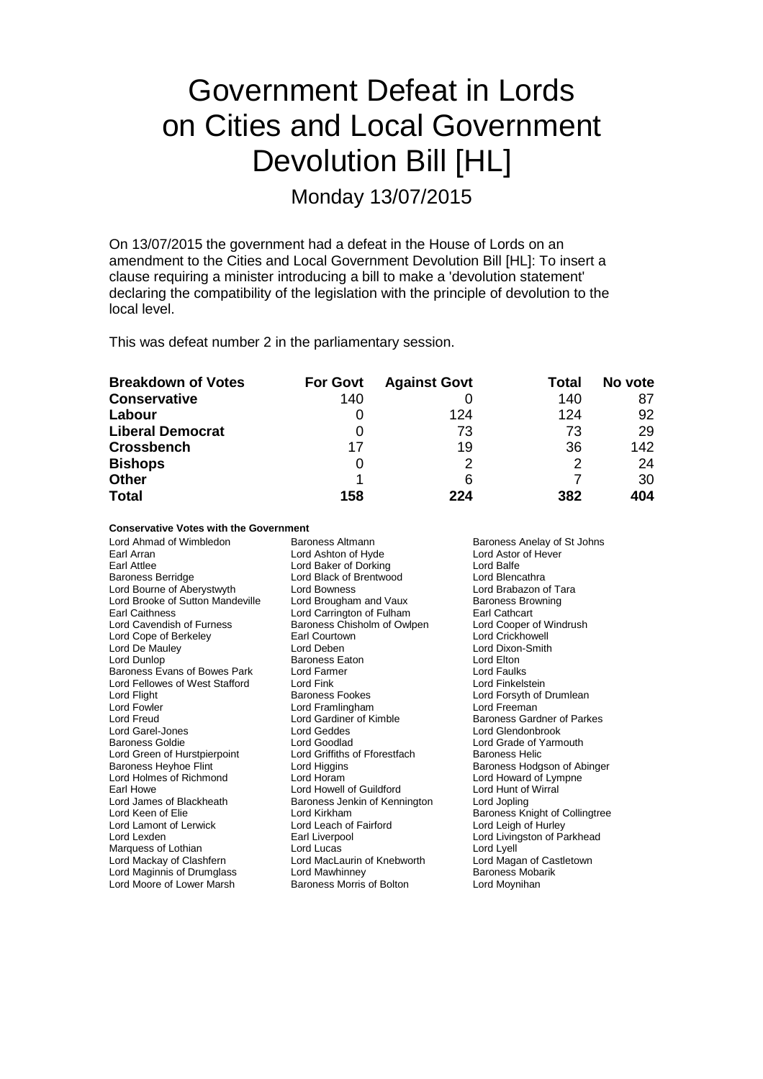## Government Defeat in Lords on Cities and Local Government Devolution Bill [HL]

Monday 13/07/2015

On 13/07/2015 the government had a defeat in the House of Lords on an amendment to the Cities and Local Government Devolution Bill [HL]: To insert a clause requiring a minister introducing a bill to make a 'devolution statement' declaring the compatibility of the legislation with the principle of devolution to the local level.

This was defeat number 2 in the parliamentary session.

| <b>Breakdown of Votes</b> | <b>For Govt</b> | <b>Against Govt</b> | Total | No vote |
|---------------------------|-----------------|---------------------|-------|---------|
| <b>Conservative</b>       | 140             |                     | 140   | 87      |
| Labour                    |                 | 124                 | 124   | 92      |
| <b>Liberal Democrat</b>   |                 | 73                  | 73    | 29      |
| <b>Crossbench</b>         | 17              | 19                  | 36    | 142     |
| <b>Bishops</b>            | O               |                     |       | 24      |
| <b>Other</b>              |                 | 6                   |       | 30      |
| <b>Total</b>              | 158             | 224                 | 382   | 404     |

**Conservative Votes with the Government**

| Lord Ahmad of Wimbledon<br>Earl Arran<br>Earl Attlee<br><b>Baroness Berridge</b><br>Lord Bourne of Aberystwyth | Baroness Altmann<br>Lord Ashton of Hyde<br>Lord Baker of Dorking<br>Lord Black of Brentwood<br>Lord Bowness | Baroness Anelay of St Johns<br>Lord Astor of Hever<br>Lord Balfe<br>Lord Blencathra<br>Lord Brabazon of Tara |
|----------------------------------------------------------------------------------------------------------------|-------------------------------------------------------------------------------------------------------------|--------------------------------------------------------------------------------------------------------------|
| Lord Brooke of Sutton Mandeville                                                                               | Lord Brougham and Vaux                                                                                      | <b>Baroness Browning</b>                                                                                     |
| <b>Earl Caithness</b>                                                                                          | Lord Carrington of Fulham                                                                                   | Earl Cathcart                                                                                                |
| Lord Cavendish of Furness                                                                                      | Baroness Chisholm of Owlpen                                                                                 | Lord Cooper of Windrush                                                                                      |
| Lord Cope of Berkeley                                                                                          | Earl Courtown                                                                                               | Lord Crickhowell                                                                                             |
| Lord De Mauley                                                                                                 | Lord Deben                                                                                                  | Lord Dixon-Smith                                                                                             |
| Lord Dunlop                                                                                                    | <b>Baroness Eaton</b>                                                                                       | Lord Elton                                                                                                   |
| Baroness Evans of Bowes Park                                                                                   | Lord Farmer                                                                                                 | Lord Faulks                                                                                                  |
| Lord Fellowes of West Stafford                                                                                 | Lord Fink                                                                                                   | Lord Finkelstein                                                                                             |
| Lord Flight                                                                                                    | <b>Baroness Fookes</b>                                                                                      | Lord Forsyth of Drumlean                                                                                     |
| Lord Fowler                                                                                                    | Lord Framlingham                                                                                            | Lord Freeman                                                                                                 |
| Lord Freud                                                                                                     | Lord Gardiner of Kimble                                                                                     | Baroness Gardner of Parkes                                                                                   |
| Lord Garel-Jones                                                                                               | Lord Geddes                                                                                                 | Lord Glendonbrook                                                                                            |
| <b>Baroness Goldie</b>                                                                                         | Lord Goodlad                                                                                                | Lord Grade of Yarmouth                                                                                       |
| Lord Green of Hurstpierpoint                                                                                   | Lord Griffiths of Fforestfach                                                                               | Baroness Helic                                                                                               |
| <b>Baroness Heyhoe Flint</b>                                                                                   | Lord Higgins                                                                                                | Baroness Hodgson of Abinger                                                                                  |
| Lord Holmes of Richmond                                                                                        | Lord Horam                                                                                                  | Lord Howard of Lympne                                                                                        |
| Earl Howe                                                                                                      | Lord Howell of Guildford                                                                                    | Lord Hunt of Wirral                                                                                          |
| Lord James of Blackheath                                                                                       | Baroness Jenkin of Kennington                                                                               | Lord Jopling                                                                                                 |
| Lord Keen of Elie                                                                                              | Lord Kirkham                                                                                                | Baroness Knight of Collingtree                                                                               |
| Lord Lamont of Lerwick                                                                                         | Lord Leach of Fairford                                                                                      | Lord Leigh of Hurley                                                                                         |
| Lord Lexden                                                                                                    | Earl Liverpool                                                                                              | Lord Livingston of Parkhead                                                                                  |
| Marquess of Lothian                                                                                            | Lord Lucas                                                                                                  | Lord Lyell                                                                                                   |
| Lord Mackay of Clashfern                                                                                       | Lord MacLaurin of Knebworth                                                                                 | Lord Magan of Castletown                                                                                     |
| Lord Maginnis of Drumglass                                                                                     | Lord Mawhinney                                                                                              | Baroness Mobarik                                                                                             |
| Lord Moore of Lower Marsh                                                                                      | Baroness Morris of Bolton                                                                                   | Lord Moynihan                                                                                                |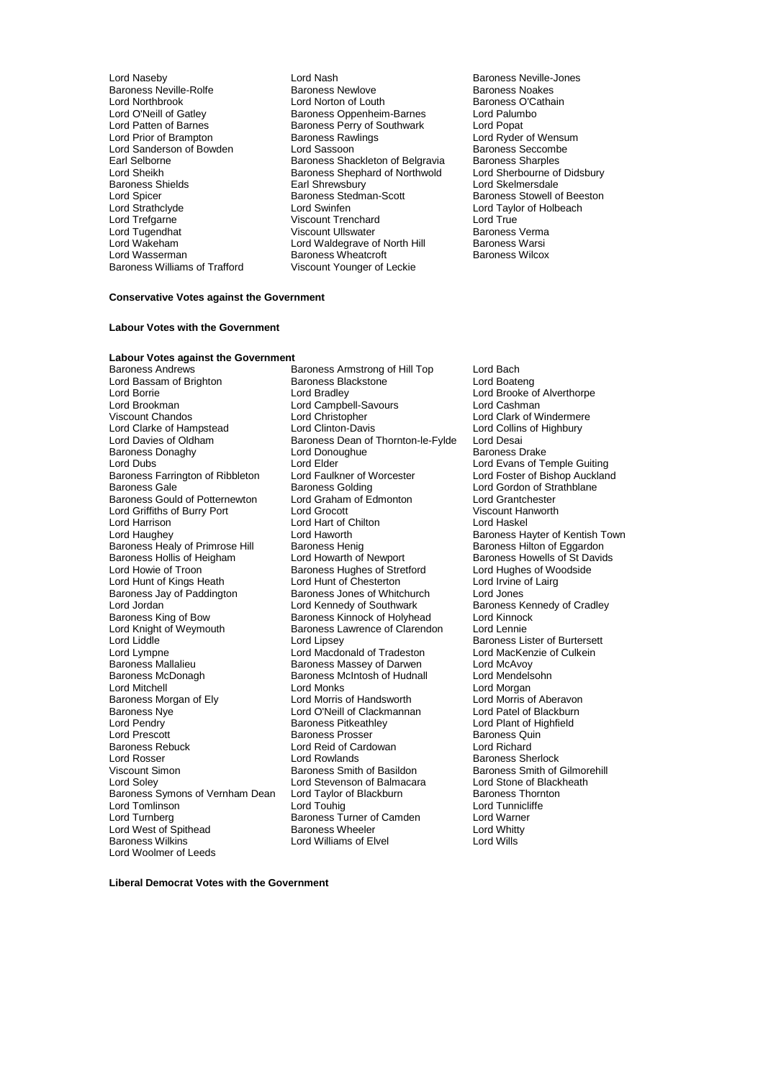Lord Patten of Barnes<br>
Lord Prior of Brampton<br>
Baroness Rawlings Lord Wasserman **Baroness Wheatcroft**<br>Baroness Williams of Trafford **Baroness Wheatcroft** 

Lord Naseby Lord Nash Baroness Neville-Jones<br>
Baroness Neville-Rolfe Baroness Newlove Baroness Nextes<br>
Baroness Nextes Baroness Neville-Rolfe **Baroness Newlove** Baroness Newlove Baroness Noakes<br>
Lord Northbrook **Baroness Accepts** Lord Norton of Louth Baroness O'Cathain Lord Northbrook **Lord Norton of Louth** Baroness O'Cathain Cord Norton of Louth Baroness O'Cathain Baroness O'Cathain<br>
Baroness Oppenheim-Barnes Lord Palumbo Lord O'Neill of Gatley **Baroness Oppenheim-Barnes** Lord Palum<br>Lord Patten of Barnes **Baroness Perry of Southwark** Lord Popat Examples Rawlings and Brampton Baroness Rawlings<br>
Lord Sassoon Baroness Seccombe Lord Sanderson of Bowden Lord Sassoon<br>
Earl Selborne Baroness Shackleton of Belgravia Baroness Sharples Earl Selborne **Baroness Shackleton of Belgravia** Baroness Sharples<br>
Lord Sheikh **Baroness Shephard of Northwold** Lord Sherbourne of Didsbury Lord Sheikh Baroness Shephard of Northwold<br>Baroness Shields Baroness Shephard of Northwold Baroness Shields **Earl Shrewsbury Lord Skelmersdale**<br>
Lord Spicer **Earl Shrewsbury Corporation**<br>
Baroness Stedman-Scott Baroness Stowell o Lord Spicer **Baroness Stedman-Scott** Baroness Stedman-Scott Baroness Stowell of Beeston<br>
Lord Strathclyde **Baroness Stowell of Beeston**<br>
Lord Taylor of Holbeach Lord Strathclyde Lord Swinfen Lord Taylor of Holbeach Lord Trefgarne Viscount Trenchard Lord True Lord Tugendhat Viscount Ullswater Baroness Verma Lord Wakeham **Lord Waldegrave of North Hill** Baroness Warsi<br>
Lord Wasserman **Container Baroness Wheatcroft** Baroness Wilcox Viscount Younger of Leckie

### **Conservative Votes against the Government**

#### **Labour Votes with the Government**

## **Labour Votes against the Government**

Lord Bassam of Brighton Baroness Blackstone Baroness Blackstone Lord Bradley Lord Borrie Lord Bradley Lord Bradley Lord Brooke of Alverthorpe<br>Lord Brooke of Alverthorpe<br>Lord Brookman Lord Campbell-Savours Lord Cashman Lord Brookman Lord Campbell-Savours<br>
Viscount Chandos Corpus Lord Christopher Lord Clarke of Hampstead Lord Clinton-Davis Lord Collins Lord Collins Lord Collins Lord Collins Lord Desail<br>
Lord Davies of Oldham Baroness Dean of Thornton-le-Fylde Lord Desai Baroness Donaghy **Lord Donoughue**<br>
Lord Dubs<br>
Lord Elder Baroness Farrington of Ribbleton Lord Faulkner of Worcester Lord Foster of Bishop Auckland<br>Baroness Golding Cord Cord Gordon of Strathblane Baroness Gould of Potternewton Lord Graham of Edmonton Lord Grantchester<br>
Lord Griffiths of Burry Port Lord Grocott Lord Crount Hanworth Lord Griffiths of Burry Port Lord Grocott Lord Groen Viscount Hanger Corp.<br>
Lord Harrison Lord Hankel Lord Hankel Lord Hankel Lord Haskel Lord Harrison **Lord Hart of Chilton**<br>
Lord Haughey **Lord Haworth** Baroness Healy of Primrose Hill Baroness Henig Baroness Hearoness Hilton of Eggardon<br>Baroness Hollis of Heigham Bord Howarth of Newport Baroness Howells of St Davids Baroness Hollis of Heigham Lord Howarth of Newport Baroness Howells of St David Baroness Howells of St Davids<br>
Lord Howie of Troon Baroness Hughes of Stretford Lord Hughes of Woodside Lord Hunt of Kings Heath Lord Hunt of Chesterton Lord Irvine Cord Irvine<br>Baroness Jay of Paddington Baroness Jones of Whitchurch Lord Jones Baroness Jay of Paddington Baroness Jones of Whitchurch<br>
Lord Jordan Baroness Jones of Southwark Lord Jordan Lord Kennedy of Southwark Baroness Kennedy of Cradley<br>
Baroness Kinnedy of Bow Baroness Kinnock of Holyhead Lord Kinnock Baroness King of Bow **Baroness Kinnock of Holyhead** Lord Kinnock of Holyhead Lord Kinnoc<br>
Lord Knight of Weymouth **Baroness Lawrence of Clarendon** Lord Lennie Lord Knight of Weymouth Baroness Lawrence of Clarendon<br>Lord Liddle Lord Lipsey Lord Liddle The Lord Lipsey Cord Lipsey Baroness Lister of Burtersett<br>
Lord Lord Macdonald of Tradeston Lord MacKenzie of Culkein Lord Lympne Lord Mac Lord Macdonald of Tradeston Lord MacKen<br>Baroness Mallalieu Baroness Massey of Darwen Lord McAvoy Baroness Mallalieu **Baroness Massey of Darwen** Lord McAvoy<br>Baroness McDonagh Baroness McIntosh of Hudnall Lord Mendelsohn Baroness McDonagh Baroness McIntosh of Hudnall<br>
Lord Mitchell<br>
Lord Monks Baroness Morgan of Ely Lord Morris of Handsworth Lord Morris of Aberavon<br>Baroness Nye Lord Morris Clackmannan Lord Patel of Blackburn Baroness Nye Lord O'Neill of Clackmannan<br>
Lord Pendry Clackburn Baroness Pitkeathley Lord Pendry **Communist Communist Communist Person** Baroness Pitkeathley **Communist Communist Communist Communist Communist Communist Communist Communist Communist Communist Communist Communist Communist Communist Communist** Lord Prescott Baroness Prosser Baroness Quin Baroness Rebuck Lord Reid of Cardowan<br>
Lord Rosser Lord Rowlands Lord Rosser Lord Rowlands **Baroness Sherlock**<br>
Viscount Simon Company Baroness Smith of Basildon<br>
Unity Baroness Smith of Basildon Viscount Simon **Baroness Smith of Basildon** Baroness Smith of Gilmorehill<br>
Lord Solev **Baroness Smith of Baroness Smith of Gilmorehill**<br>
Lord Stone of Blackheath Baroness Symons of Vernham Dean Lord Taylor<br>Lord Tomlinson baroness Lord Touhig Lord Tomlinson Lord Touhig Lord Tunnicliffe Lord West of Spithead **Baroness Wheeler** Lord Whitt<br>Baroness Wilkins **Baroness Williams of Elvel** Baroness Wilkins Baroness Wilkins Lord Woolmer of Leeds

Baroness Armstrong of Hill Top Lord Bach<br>Baroness Blackstone Lord Boateng Lord Christopher Lord Clark of Windermere<br>
Lord Clinton-Davis Lord Collins of Highbury Baroness Dean of Thornton-le-Fylde Lord Desai<br>Lord Donoughue Baroness Drake Lord Elder Lord Evans of Temple Guiting<br>Lord Faulkner of Worcester Lord Foster of Bishop Auckland Baroness Golding Lord Gordon of St<br>
Lord Graham of Edmonton Lord Grantchester Lord Haworth **Communist Communist Baroness Hayter of Kentish Town**<br>
Baroness Henig **Baroness Hilton** of Eggardon Exaroness Hughes of Stretford Lord Hughes of Woods Lord Hughes of Woodside Lord Hughes of Woodside Lord Hughes O Lord Monks<br>
Lord Morris of Handsworth Lord Morris of Aberavon Lord Stevenson of Balmacara Lord Stone of Black<br>
Lord Taylor of Blackburn Baroness Thornton Baroness Turner of Camden Lord Warne<br>Baroness Wheeler Lord Whitty

**Liberal Democrat Votes with the Government**